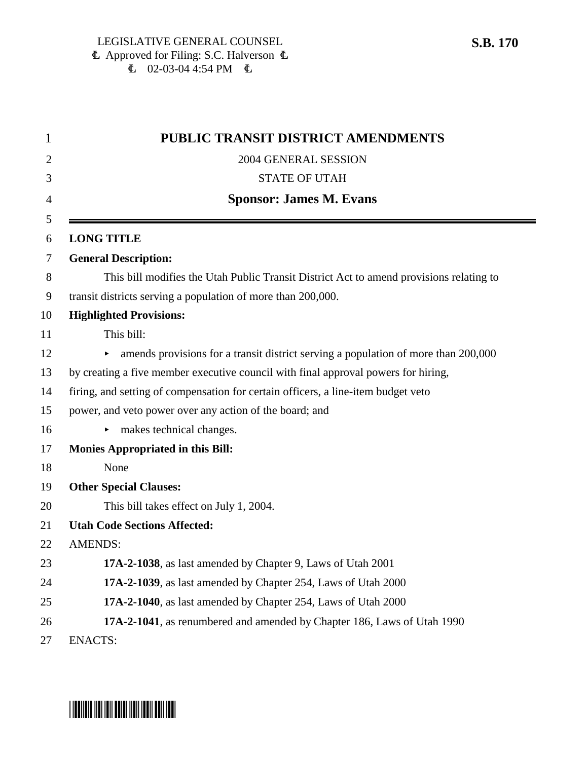| 1              | PUBLIC TRANSIT DISTRICT AMENDMENTS                                                      |
|----------------|-----------------------------------------------------------------------------------------|
| $\overline{2}$ | 2004 GENERAL SESSION                                                                    |
| 3              | <b>STATE OF UTAH</b>                                                                    |
| 4              | <b>Sponsor: James M. Evans</b>                                                          |
| 5              |                                                                                         |
| 6              | <b>LONG TITLE</b>                                                                       |
| 7              | <b>General Description:</b>                                                             |
| 8              | This bill modifies the Utah Public Transit District Act to amend provisions relating to |
| 9              | transit districts serving a population of more than 200,000.                            |
| 10             | <b>Highlighted Provisions:</b>                                                          |
| 11             | This bill:                                                                              |
| 12             | amends provisions for a transit district serving a population of more than 200,000<br>▶ |
| 13             | by creating a five member executive council with final approval powers for hiring,      |
| 14             | firing, and setting of compensation for certain officers, a line-item budget veto       |
| 15             | power, and veto power over any action of the board; and                                 |
| 16             | makes technical changes.                                                                |
| 17             | <b>Monies Appropriated in this Bill:</b>                                                |
| 18             | None                                                                                    |
| 19             | <b>Other Special Clauses:</b>                                                           |
| 20             | This bill takes effect on July 1, 2004.                                                 |
| 21             | <b>Utah Code Sections Affected:</b>                                                     |
| 22             | <b>AMENDS:</b>                                                                          |
| 23             | 17A-2-1038, as last amended by Chapter 9, Laws of Utah 2001                             |
| 24             | 17A-2-1039, as last amended by Chapter 254, Laws of Utah 2000                           |
| 25             | 17A-2-1040, as last amended by Chapter 254, Laws of Utah 2000                           |
| 26             | 17A-2-1041, as renumbered and amended by Chapter 186, Laws of Utah 1990                 |
| 27             | <b>ENACTS:</b>                                                                          |

# **S.B. 170**

# \*SB0170\*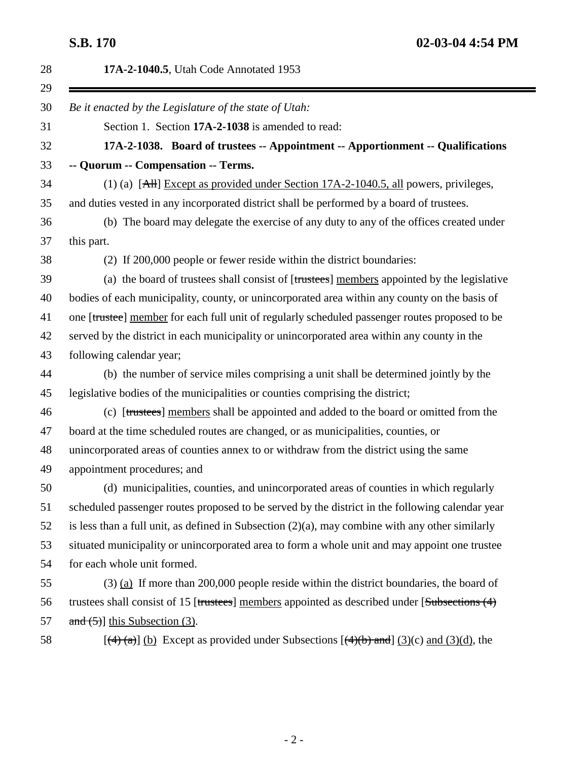| 28 | 17A-2-1040.5, Utah Code Annotated 1953                                                                                     |
|----|----------------------------------------------------------------------------------------------------------------------------|
| 29 |                                                                                                                            |
| 30 | Be it enacted by the Legislature of the state of Utah:                                                                     |
| 31 | Section 1. Section 17A-2-1038 is amended to read:                                                                          |
| 32 | 17A-2-1038. Board of trustees -- Appointment -- Apportionment -- Qualifications                                            |
| 33 | -- Quorum -- Compensation -- Terms.                                                                                        |
| 34 | (1) (a) $[AH]$ Except as provided under Section 17A-2-1040.5, all powers, privileges,                                      |
| 35 | and duties vested in any incorporated district shall be performed by a board of trustees.                                  |
| 36 | (b) The board may delegate the exercise of any duty to any of the offices created under                                    |
| 37 | this part.                                                                                                                 |
| 38 | (2) If 200,000 people or fewer reside within the district boundaries:                                                      |
| 39 | (a) the board of trustees shall consist of [trustees] members appointed by the legislative                                 |
| 40 | bodies of each municipality, county, or unincorporated area within any county on the basis of                              |
| 41 | one [trustee] member for each full unit of regularly scheduled passenger routes proposed to be                             |
| 42 | served by the district in each municipality or unincorporated area within any county in the                                |
| 43 | following calendar year;                                                                                                   |
| 44 | (b) the number of service miles comprising a unit shall be determined jointly by the                                       |
| 45 | legislative bodies of the municipalities or counties comprising the district;                                              |
| 46 | (c) [trustees] members shall be appointed and added to the board or omitted from the                                       |
| 47 | board at the time scheduled routes are changed, or as municipalities, counties, or                                         |
| 48 | unincorporated areas of counties annex to or withdraw from the district using the same                                     |
| 49 | appointment procedures; and                                                                                                |
| 50 | (d) municipalities, counties, and unincorporated areas of counties in which regularly                                      |
| 51 | scheduled passenger routes proposed to be served by the district in the following calendar year                            |
| 52 | is less than a full unit, as defined in Subsection $(2)(a)$ , may combine with any other similarly                         |
| 53 | situated municipality or unincorporated area to form a whole unit and may appoint one trustee                              |
| 54 | for each whole unit formed.                                                                                                |
| 55 | $(3)$ (a) If more than 200,000 people reside within the district boundaries, the board of                                  |
| 56 | trustees shall consist of 15 [trustees] members appointed as described under [Subsections (4)                              |
| 57 | and $(5)$ ] this Subsection (3).                                                                                           |
| 58 | $[\frac{4}{2}(a)]$ (b) Except as provided under Subsections $[\frac{4}{6}b)$ and $[\frac{3}{c})$ and $(\frac{3}{d})$ , the |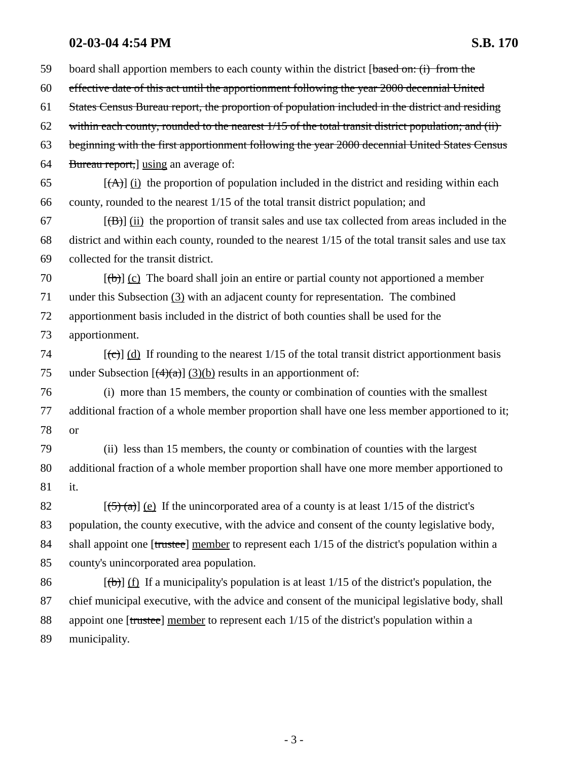59 board shall apportion members to each county within the district [based on: (i) from the 60 effective date of this act until the apportionment following the year 2000 decennial United 61 States Census Bureau report, the proportion of population included in the district and residing 62 within each county, rounded to the nearest  $1/15$  of the total transit district population; and (ii) 63 beginning with the first apportionment following the year 2000 decennial United States Census 64 Bureau report, using an average of:  $[({\bf A})]$  (i) the proportion of population included in the district and residing within each 66 county, rounded to the nearest 1/15 of the total transit district population; and  $[67]$  [(B)] (ii) the proportion of transit sales and use tax collected from areas included in the 68 district and within each county, rounded to the nearest 1/15 of the total transit sales and use tax 69 collected for the transit district. 70  $[(\theta)]$  (c) The board shall join an entire or partial county not apportioned a member 71 under this Subsection (3) with an adjacent county for representation. The combined 72 apportionment basis included in the district of both counties shall be used for the 73 apportionment. 74  $[(e)]$  (d) If rounding to the nearest 1/15 of the total transit district apportionment basis 75 under Subsection  $\left[\frac{4}{(4)(a)}\right]$  (3)(b) results in an apportionment of: 76 (i) more than 15 members, the county or combination of counties with the smallest 77 additional fraction of a whole member proportion shall have one less member apportioned to it; 78 or 79 (ii) less than 15 members, the county or combination of counties with the largest 80 additional fraction of a whole member proportion shall have one more member apportioned to 81 it. 82  $[(5)(a)]$  (e) If the unincorporated area of a county is at least 1/15 of the district's 83 population, the county executive, with the advice and consent of the county legislative body, 84 shall appoint one [trustee] member to represent each 1/15 of the district's population within a 85 county's unincorporated area population. 86  $[(\theta)]$  (f) If a municipality's population is at least 1/15 of the district's population, the 87 chief municipal executive, with the advice and consent of the municipal legislative body, shall 88 appoint one [trustee] member to represent each  $1/15$  of the district's population within a 89 municipality.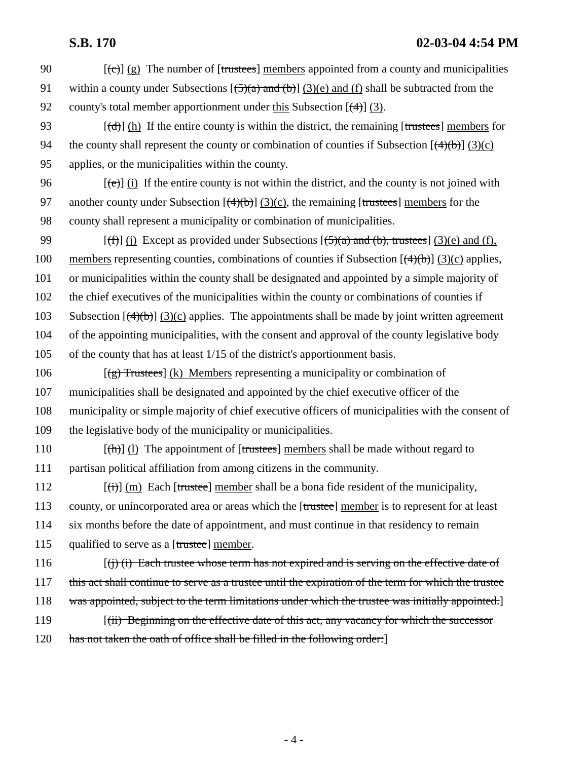90  $[(e)]$  (g) The number of [trustees] members appointed from a county and municipalities 91 within a county under Subsections  $[\frac{5}{a} \text{ and } \frac{b}{c}]$  (3)(e) and (f) shall be subtracted from the 92 county's total member apportionment under this Subsection  $\lceil (4) \rceil$  (3).

- 93  $[(d)] (h)$  If the entire county is within the district, the remaining [trustees] members for 94 the county shall represent the county or combination of counties if Subsection  $[(4)(b)] (3)(c)$ 95 applies, or the municipalities within the county.
- 96  $[(e)]$  (i) If the entire county is not within the district, and the county is not joined with 97 another county under Subsection  $[(4)(b)]$  (3)(c), the remaining [trustees] members for the 98 county shall represent a municipality or combination of municipalities.

99 [(f)] (j) Except as provided under Subsections  $(5)(a)$  and (b), trustees] (3)(e) and (f), 100 members representing counties, combinations of counties if Subsection  $[(4)(b)]$  (3)(c) applies, 101 or municipalities within the county shall be designated and appointed by a simple majority of 102 the chief executives of the municipalities within the county or combinations of counties if 103 Subsection  $[(4)(b)]$  (3)(c) applies. The appointments shall be made by joint written agreement 104 of the appointing municipalities, with the consent and approval of the county legislative body 105 of the county that has at least 1/15 of the district's apportionment basis.

106  $[\frac{1}{2}]$  Trustees  $[\frac{1}{2}]$  Members representing a municipality or combination of 107 municipalities shall be designated and appointed by the chief executive officer of the 108 municipality or simple majority of chief executive officers of municipalities with the consent of 109 the legislative body of the municipality or municipalities.

110  $[(\text{th})]$  (l) The appointment of [trustees] members shall be made without regard to 111 partisan political affiliation from among citizens in the community.

112  $[(ii)]$  (m) Each [trustee] member shall be a bona fide resident of the municipality, 113 county, or unincorporated area or areas which the [trustee] member is to represent for at least 114 six months before the date of appointment, and must continue in that residency to remain 115 qualified to serve as a [trustee] member.

116  $[(i)$  (i) Each trustee whose term has not expired and is serving on the effective date of 117 this act shall continue to serve as a trustee until the expiration of the term for which the trustee 118 was appointed, subject to the term limitations under which the trustee was initially appointed. 119 *(ii) Beginning on the effective date of this act, any vacancy for which the successor* 

120 has not taken the oath of office shall be filled in the following order:]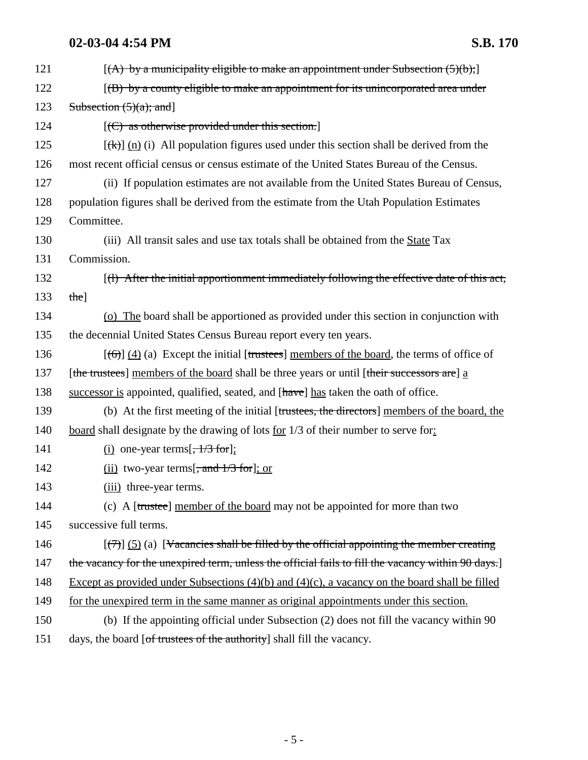| 121 | $[(A)$ by a municipality eligible to make an appointment under Subsection $(5)(b)$ ;                   |
|-----|--------------------------------------------------------------------------------------------------------|
| 122 | $(6)$ by a county eligible to make an appointment for its unincorporated area under                    |
| 123 | Subsection $(5)(a)$ ; and]                                                                             |
| 124 | $[ (C)$ as otherwise provided under this section.]                                                     |
| 125 | $[\frac{f(k)}{g(n)}]$ (i) All population figures used under this section shall be derived from the     |
| 126 | most recent official census or census estimate of the United States Bureau of the Census.              |
| 127 | (ii) If population estimates are not available from the United States Bureau of Census,                |
| 128 | population figures shall be derived from the estimate from the Utah Population Estimates               |
| 129 | Committee.                                                                                             |
| 130 | (iii) All transit sales and use tax totals shall be obtained from the State Tax                        |
| 131 | Commission.                                                                                            |
| 132 | [(1) After the initial apportionment immediately following the effective date of this act,             |
| 133 | the]                                                                                                   |
| 134 | (o) The board shall be apportioned as provided under this section in conjunction with                  |
| 135 | the decennial United States Census Bureau report every ten years.                                      |
| 136 | $[\text{(\theta)}]$ (4) (a) Except the initial [trustees] members of the board, the terms of office of |
| 137 | [the trustees] members of the board shall be three years or until [their successors are] a             |
| 138 | successor is appointed, qualified, seated, and [have] has taken the oath of office.                    |
| 139 | (b) At the first meeting of the initial [trustees, the directors] members of the board, the            |
| 140 | board shall designate by the drawing of lots <u>for</u> 1/3 of their number to serve for:              |
| 141 | (i) one-year terms $\left[ \frac{1}{3} \text{ for} \right]$ ;                                          |
| 142 | $(ii)$ two-year terms[, and $1/3$ for]; or                                                             |
| 143 | (iii) three-year terms.                                                                                |
| 144 | (c) A [trustee] member of the board may not be appointed for more than two                             |
| 145 | successive full terms.                                                                                 |
| 146 | $(\frac{7}{2})$ (5) (a) [Vacancies shall be filled by the official appointing the member creating      |
| 147 | the vacancy for the unexpired term, unless the official fails to fill the vacancy within 90 days.]     |
| 148 | Except as provided under Subsections $(4)(b)$ and $(4)(c)$ , a vacancy on the board shall be filled    |
| 149 | for the unexpired term in the same manner as original appointments under this section.                 |
| 150 | (b) If the appointing official under Subsection (2) does not fill the vacancy within 90                |
| 151 | days, the board [of trustees of the authority] shall fill the vacancy.                                 |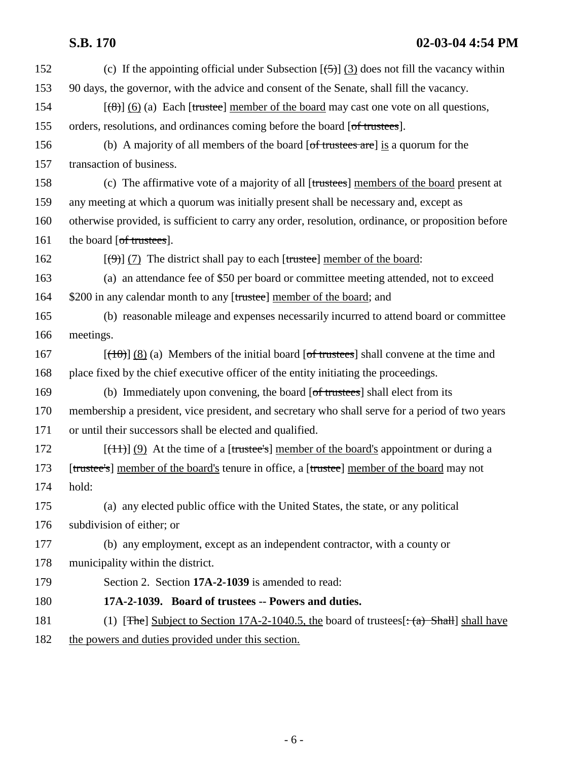| 152 | (c) If the appointing official under Subsection $[\frac{5}{2}]$ (3) does not fill the vacancy within  |
|-----|-------------------------------------------------------------------------------------------------------|
| 153 | 90 days, the governor, with the advice and consent of the Senate, shall fill the vacancy.             |
| 154 | $[\frac{125}{100}]$ (6) (a) Each [trustee] member of the board may cast one vote on all questions,    |
| 155 | orders, resolutions, and ordinances coming before the board [of trustees].                            |
| 156 | (b) A majority of all members of the board $[of$ trustees are $]$ is a quorum for the                 |
| 157 | transaction of business.                                                                              |
| 158 | (c) The affirmative vote of a majority of all [trustees] members of the board present at              |
| 159 | any meeting at which a quorum was initially present shall be necessary and, except as                 |
| 160 | otherwise provided, is sufficient to carry any order, resolution, ordinance, or proposition before    |
| 161 | the board [of trustees].                                                                              |
| 162 | $[\langle 9 \rangle]$ (7) The district shall pay to each [trustee] member of the board:               |
| 163 | (a) an attendance fee of \$50 per board or committee meeting attended, not to exceed                  |
| 164 | \$200 in any calendar month to any [trustee] member of the board; and                                 |
| 165 | (b) reasonable mileage and expenses necessarily incurred to attend board or committee                 |
| 166 | meetings.                                                                                             |
| 167 | $[\frac{(10)}{(8)}]$ (8) (a) Members of the initial board [of trustees] shall convene at the time and |
| 168 | place fixed by the chief executive officer of the entity initiating the proceedings.                  |
| 169 | (b) Immediately upon convening, the board [of trustees] shall elect from its                          |
| 170 | membership a president, vice president, and secretary who shall serve for a period of two years       |
| 171 | or until their successors shall be elected and qualified.                                             |
| 172 | $[\frac{+1}{-}]$ (9) At the time of a [trustee's] member of the board's appointment or during a       |
| 173 | [trustee's] member of the board's tenure in office, a [trustee] member of the board may not           |
| 174 | hold:                                                                                                 |
| 175 | (a) any elected public office with the United States, the state, or any political                     |
| 176 | subdivision of either; or                                                                             |
| 177 | (b) any employment, except as an independent contractor, with a county or                             |
| 178 | municipality within the district.                                                                     |
| 179 | Section 2. Section 17A-2-1039 is amended to read:                                                     |
| 180 | 17A-2-1039. Board of trustees -- Powers and duties.                                                   |
| 181 | (1) [The] Subject to Section 17A-2-1040.5, the board of trustees $[\cdot(\alpha)$ Shall shall have    |
| 182 | the powers and duties provided under this section.                                                    |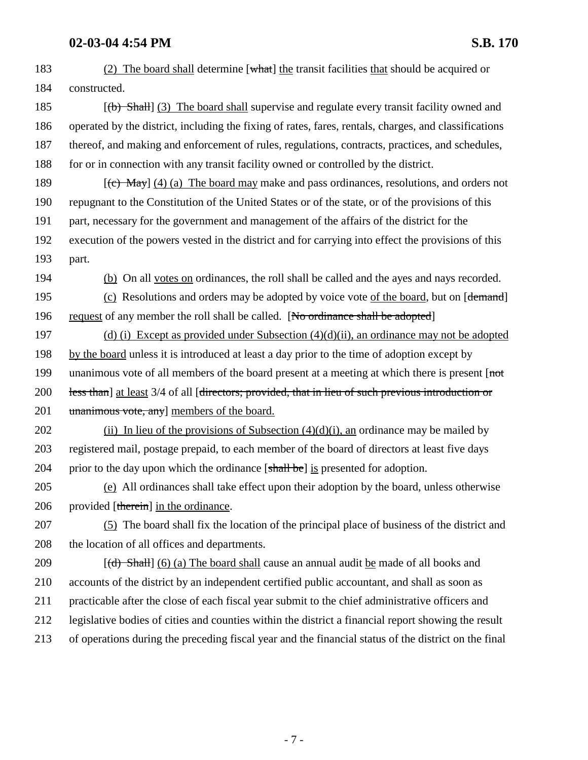| 183 | (2) The board shall determine $[what]$ the transit facilities that should be acquired or               |
|-----|--------------------------------------------------------------------------------------------------------|
| 184 | constructed.                                                                                           |
| 185 | $[\text{2}]$ (b) Shall (3) The board shall supervise and regulate every transit facility owned and     |
| 186 | operated by the district, including the fixing of rates, fares, rentals, charges, and classifications  |
| 187 | thereof, and making and enforcement of rules, regulations, contracts, practices, and schedules,        |
| 188 | for or in connection with any transit facility owned or controlled by the district.                    |
| 189 | $[\text{f}\in \text{May}]$ (4) (a) The board may make and pass ordinances, resolutions, and orders not |
| 190 | repugnant to the Constitution of the United States or of the state, or of the provisions of this       |
| 191 | part, necessary for the government and management of the affairs of the district for the               |
| 192 | execution of the powers vested in the district and for carrying into effect the provisions of this     |
| 193 | part.                                                                                                  |
| 194 | (b) On all votes on ordinances, the roll shall be called and the ayes and nays recorded.               |
| 195 | (c) Resolutions and orders may be adopted by voice vote of the board, but on [demand]                  |
| 196 | request of any member the roll shall be called. [No ordinance shall be adopted]                        |
| 197 | (d) (i) Except as provided under Subsection $(4)(d)(ii)$ , an ordinance may not be adopted             |
| 198 | by the board unless it is introduced at least a day prior to the time of adoption except by            |
| 199 | unanimous vote of all members of the board present at a meeting at which there is present [not]        |
| 200 | less than] at least 3/4 of all [directors; provided, that in lieu of such previous introduction or     |
| 201 | unanimous vote, any] members of the board.                                                             |
| 202 | (ii) In lieu of the provisions of Subsection $(4)(d)(i)$ , an ordinance may be mailed by               |
| 203 | registered mail, postage prepaid, to each member of the board of directors at least five days          |
| 204 | prior to the day upon which the ordinance [shall be] is presented for adoption.                        |
| 205 | (e) All ordinances shall take effect upon their adoption by the board, unless otherwise                |
| 206 | provided [therein] in the ordinance.                                                                   |
| 207 | (5) The board shall fix the location of the principal place of business of the district and            |
| 208 | the location of all offices and departments.                                                           |
| 209 | $[(d)$ Shall $(6)$ (a) The board shall cause an annual audit be made of all books and                  |
| 210 | accounts of the district by an independent certified public accountant, and shall as soon as           |
| 211 | practicable after the close of each fiscal year submit to the chief administrative officers and        |
| 212 | legislative bodies of cities and counties within the district a financial report showing the result    |
| 213 | of operations during the preceding fiscal year and the financial status of the district on the final   |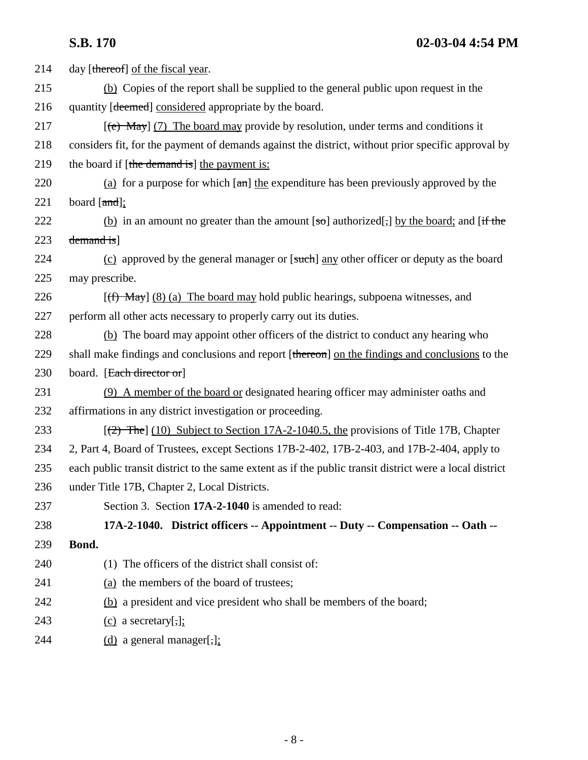| 214 | day [thereof] of the fiscal year.                                                                       |
|-----|---------------------------------------------------------------------------------------------------------|
| 215 | (b) Copies of the report shall be supplied to the general public upon request in the                    |
| 216 | quantity [deemed] considered appropriate by the board.                                                  |
| 217 | $[\text{e}$ May] (7) The board may provide by resolution, under terms and conditions it                 |
| 218 | considers fit, for the payment of demands against the district, without prior specific approval by      |
| 219 | the board if [the demand is] the payment is:                                                            |
| 220 | (a) for a purpose for which $[\pi n]$ the expenditure has been previously approved by the               |
| 221 | board $[and]$ ;                                                                                         |
| 222 | (b) in an amount no greater than the amount $[\infty]$ authorized[,] by the board; and [if the          |
| 223 | demand is]                                                                                              |
| 224 | (c) approved by the general manager or [such] any other officer or deputy as the board                  |
| 225 | may prescribe.                                                                                          |
| 226 | $[(f)$ May] (8) (a) The board may hold public hearings, subpoena witnesses, and                         |
| 227 | perform all other acts necessary to properly carry out its duties.                                      |
| 228 | (b) The board may appoint other officers of the district to conduct any hearing who                     |
| 229 | shall make findings and conclusions and report [thereon] on the findings and conclusions to the         |
| 230 | board. [Each director or]                                                                               |
| 231 | (9) A member of the board or designated hearing officer may administer oaths and                        |
| 232 | affirmations in any district investigation or proceeding.                                               |
| 233 | $[$ (2) The] (10) Subject to Section 17A-2-1040.5, the provisions of Title 17B, Chapter                 |
| 234 | 2, Part 4, Board of Trustees, except Sections 17B-2-402, 17B-2-403, and 17B-2-404, apply to             |
| 235 | each public transit district to the same extent as if the public transit district were a local district |
| 236 | under Title 17B, Chapter 2, Local Districts.                                                            |
| 237 | Section 3. Section 17A-2-1040 is amended to read:                                                       |
| 238 | 17A-2-1040. District officers -- Appointment -- Duty -- Compensation -- Oath --                         |
| 239 | Bond.                                                                                                   |
| 240 | (1) The officers of the district shall consist of:                                                      |
| 241 | (a) the members of the board of trustees;                                                               |
| 242 | (b) a president and vice president who shall be members of the board;                                   |
| 243 | $(c)$ a secretary[,];                                                                                   |
| 244 | $(d)$ a general manager[,];                                                                             |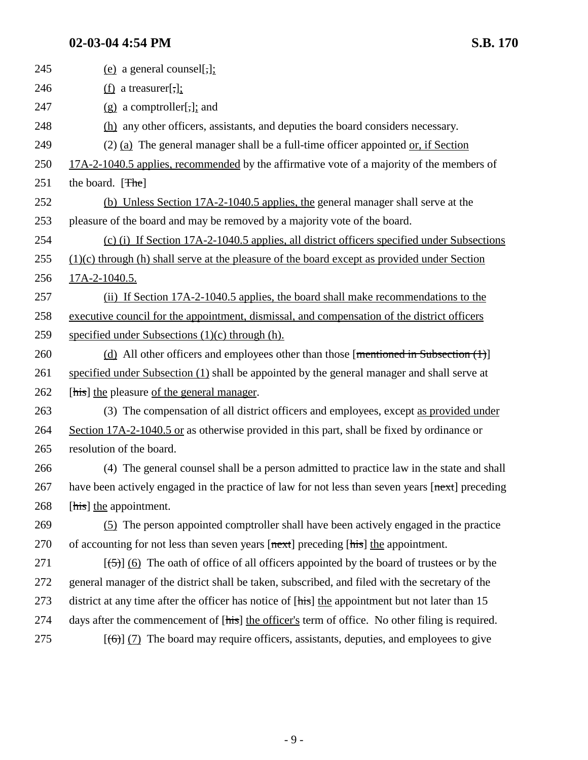| 245 | (e) a general counsel[ $\frac{1}{2}$ ];                                                                 |
|-----|---------------------------------------------------------------------------------------------------------|
| 246 | $(f)$ a treasurer[,];                                                                                   |
| 247 | $(g)$ a comptroller[,]; and                                                                             |
| 248 | (h) any other officers, assistants, and deputies the board considers necessary.                         |
| 249 | $(2)$ (a) The general manager shall be a full-time officer appointed or, if Section                     |
| 250 | 17A-2-1040.5 applies, recommended by the affirmative vote of a majority of the members of               |
| 251 | the board. [The]                                                                                        |
| 252 | (b) Unless Section 17A-2-1040.5 applies, the general manager shall serve at the                         |
| 253 | pleasure of the board and may be removed by a majority vote of the board.                               |
| 254 | (c) (i) If Section 17A-2-1040.5 applies, all district officers specified under Subsections              |
| 255 | $(1)(c)$ through (h) shall serve at the pleasure of the board except as provided under Section          |
| 256 | 17A-2-1040.5.                                                                                           |
| 257 | (ii) If Section 17A-2-1040.5 applies, the board shall make recommendations to the                       |
| 258 | executive council for the appointment, dismissal, and compensation of the district officers             |
| 259 | specified under Subsections $(1)(c)$ through $(h)$ .                                                    |
| 260 | (d) All other officers and employees other than those [mentioned in Subsection $(1)$ ]                  |
| 261 | specified under Subsection (1) shall be appointed by the general manager and shall serve at             |
| 262 | [his] the pleasure of the general manager.                                                              |
| 263 | (3) The compensation of all district officers and employees, except as provided under                   |
| 264 | Section 17A-2-1040.5 or as otherwise provided in this part, shall be fixed by ordinance or              |
| 265 | resolution of the board.                                                                                |
| 266 | (4) The general counsel shall be a person admitted to practice law in the state and shall               |
| 267 | have been actively engaged in the practice of law for not less than seven years [next] preceding        |
| 268 | [his] the appointment.                                                                                  |
| 269 | (5) The person appointed comptroller shall have been actively engaged in the practice                   |
| 270 | of accounting for not less than seven years [next] preceding [his] the appointment.                     |
| 271 | $[\frac{(-5)}{6}]$ (6) The oath of office of all officers appointed by the board of trustees or by the  |
| 272 | general manager of the district shall be taken, subscribed, and filed with the secretary of the         |
| 273 | district at any time after the officer has notice of [his] the appointment but not later than 15        |
| 274 | days after the commencement of [his] the officer's term of office. No other filing is required.         |
| 275 | $[\text{(\textbf{6})}]$ (7) The board may require officers, assistants, deputies, and employees to give |
|     |                                                                                                         |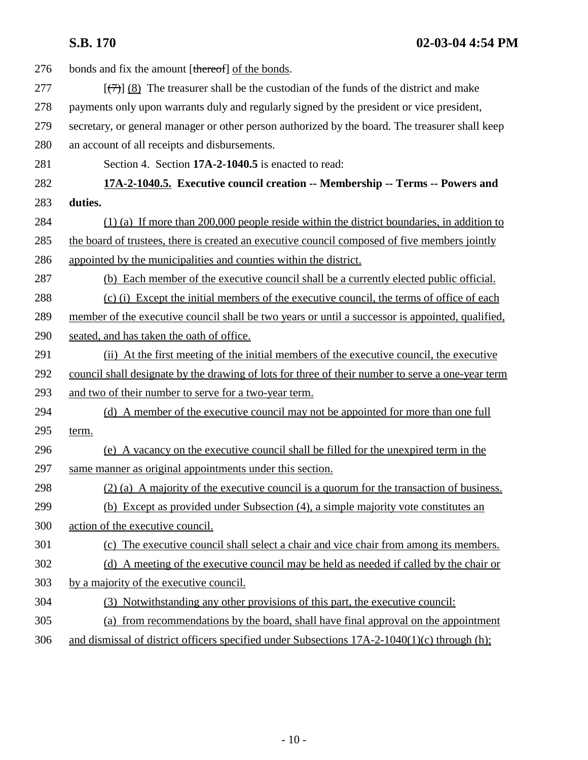| 276 | bonds and fix the amount [thereof] of the bonds.                                                  |
|-----|---------------------------------------------------------------------------------------------------|
| 277 | $[\overline{(+)}]$ (8) The treasurer shall be the custodian of the funds of the district and make |
| 278 | payments only upon warrants duly and regularly signed by the president or vice president,         |
| 279 | secretary, or general manager or other person authorized by the board. The treasurer shall keep   |
| 280 | an account of all receipts and disbursements.                                                     |
| 281 | Section 4. Section 17A-2-1040.5 is enacted to read:                                               |
| 282 | 17A-2-1040.5. Executive council creation -- Membership -- Terms -- Powers and                     |
| 283 | duties.                                                                                           |
| 284 | $(1)$ (a) If more than 200,000 people reside within the district boundaries, in addition to       |
| 285 | the board of trustees, there is created an executive council composed of five members jointly     |
| 286 | appointed by the municipalities and counties within the district.                                 |
| 287 | (b) Each member of the executive council shall be a currently elected public official.            |
| 288 | (c) (i) Except the initial members of the executive council, the terms of office of each          |
| 289 | member of the executive council shall be two years or until a successor is appointed, qualified,  |
| 290 | seated, and has taken the oath of office.                                                         |
| 291 | (ii) At the first meeting of the initial members of the executive council, the executive          |
| 292 | council shall designate by the drawing of lots for three of their number to serve a one-year term |
| 293 | and two of their number to serve for a two-year term.                                             |
| 294 | (d) A member of the executive council may not be appointed for more than one full                 |
| 295 | term.                                                                                             |
| 296 | (e) A vacancy on the executive council shall be filled for the unexpired term in the              |
| 297 | same manner as original appointments under this section.                                          |
| 298 | (2) (a) A majority of the executive council is a quorum for the transaction of business.          |
| 299 | (b) Except as provided under Subsection (4), a simple majority vote constitutes an                |
| 300 | action of the executive council.                                                                  |
| 301 | (c) The executive council shall select a chair and vice chair from among its members.             |
| 302 | (d) A meeting of the executive council may be held as needed if called by the chair or            |
| 303 | by a majority of the executive council.                                                           |
| 304 | (3) Notwithstanding any other provisions of this part, the executive council:                     |
| 305 | (a) from recommendations by the board, shall have final approval on the appointment               |
| 306 | and dismissal of district officers specified under Subsections 17A-2-1040(1)(c) through (h);      |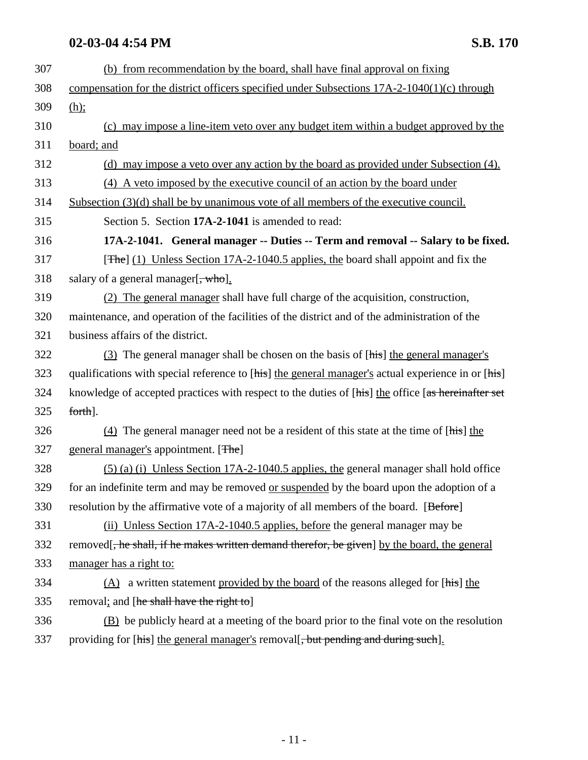| 307 | (b) from recommendation by the board, shall have final approval on fixing                          |
|-----|----------------------------------------------------------------------------------------------------|
| 308 | compensation for the district officers specified under Subsections $17A-2-1040(1)(c)$ through      |
| 309 | $(h)$ ;                                                                                            |
| 310 | (c) may impose a line-item veto over any budget item within a budget approved by the               |
| 311 | board; and                                                                                         |
| 312 | (d) may impose a veto over any action by the board as provided under Subsection (4).               |
| 313 | (4) A veto imposed by the executive council of an action by the board under                        |
| 314 | Subsection (3)(d) shall be by unanimous vote of all members of the executive council.              |
| 315 | Section 5. Section 17A-2-1041 is amended to read:                                                  |
| 316 | 17A-2-1041. General manager -- Duties -- Term and removal -- Salary to be fixed.                   |
| 317 | [ $\pi$ he] (1) Unless Section 17A-2-1040.5 applies, the board shall appoint and fix the           |
| 318 | salary of a general manager[ <del>, who</del> ].                                                   |
| 319 | (2) The general manager shall have full charge of the acquisition, construction,                   |
| 320 | maintenance, and operation of the facilities of the district and of the administration of the      |
| 321 | business affairs of the district.                                                                  |
| 322 | (3) The general manager shall be chosen on the basis of [his] the general manager's                |
| 323 | qualifications with special reference to [his] the general manager's actual experience in or [his] |
| 324 | knowledge of accepted practices with respect to the duties of [his] the office [as hereinafter set |
| 325 | forth].                                                                                            |
| 326 | $(4)$ The general manager need not be a resident of this state at the time of [his] the            |
| 327 | general manager's appointment. [The]                                                               |
| 328 | $(5)$ (a) (i) Unless Section 17A-2-1040.5 applies, the general manager shall hold office           |
| 329 | for an indefinite term and may be removed or suspended by the board upon the adoption of a         |
| 330 | resolution by the affirmative vote of a majority of all members of the board. [Before]             |
| 331 | (ii) Unless Section 17A-2-1040.5 applies, before the general manager may be                        |
| 332 | removed. He shall, if he makes written demand therefor, be given] by the board, the general        |
| 333 | manager has a right to:                                                                            |
| 334 | $(A)$ a written statement provided by the board of the reasons alleged for [his] the               |
| 335 | removal; and [he shall have the right to]                                                          |
| 336 | (B) be publicly heard at a meeting of the board prior to the final vote on the resolution          |
| 337 | providing for [his] the general manager's removal[, but pending and during such].                  |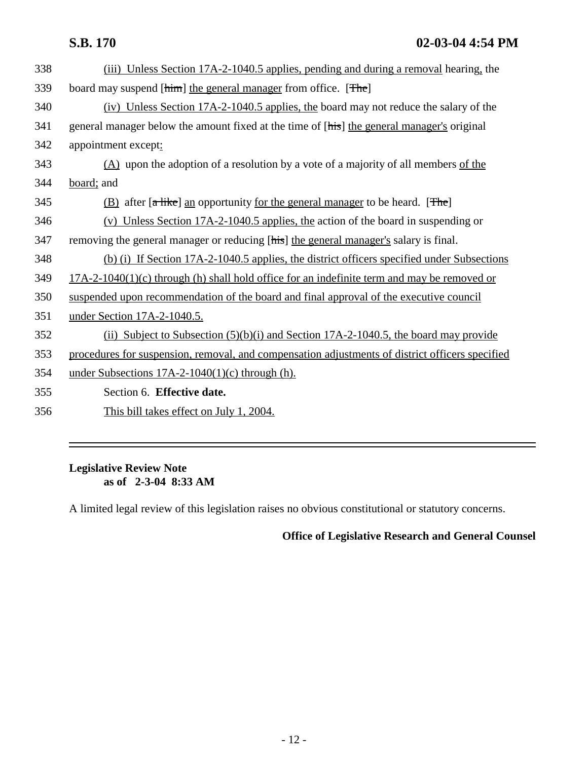| (iii) Unless Section 17A-2-1040.5 applies, pending and during a removal hearing, the            |
|-------------------------------------------------------------------------------------------------|
| board may suspend [him] the general manager from office. [The]                                  |
| (iv) Unless Section 17A-2-1040.5 applies, the board may not reduce the salary of the            |
| general manager below the amount fixed at the time of [his] the general manager's original      |
| appointment except:                                                                             |
| $(A)$ upon the adoption of a resolution by a vote of a majority of all members of the           |
| board; and                                                                                      |
| (B) after [a like] an opportunity for the general manager to be heard. [The]                    |
| (v) Unless Section $17A-2-1040.5$ applies, the action of the board in suspending or             |
| removing the general manager or reducing [his] the general manager's salary is final.           |
| (b) (i) If Section 17A-2-1040.5 applies, the district officers specified under Subsections      |
| $17A-2-1040(1)(c)$ through (h) shall hold office for an indefinite term and may be removed or   |
| suspended upon recommendation of the board and final approval of the executive council          |
| under Section 17A-2-1040.5.                                                                     |
| (ii) Subject to Subsection $(5)(b)(i)$ and Section 17A-2-1040.5, the board may provide          |
| procedures for suspension, removal, and compensation adjustments of district officers specified |
| under Subsections $17A-2-1040(1)(c)$ through (h).                                               |
| Section 6. Effective date.                                                                      |
| This bill takes effect on July 1, 2004.                                                         |
|                                                                                                 |

### **Legislative Review Note as of 2-3-04 8:33 AM**

A limited legal review of this legislation raises no obvious constitutional or statutory concerns.

# **Office of Legislative Research and General Counsel**